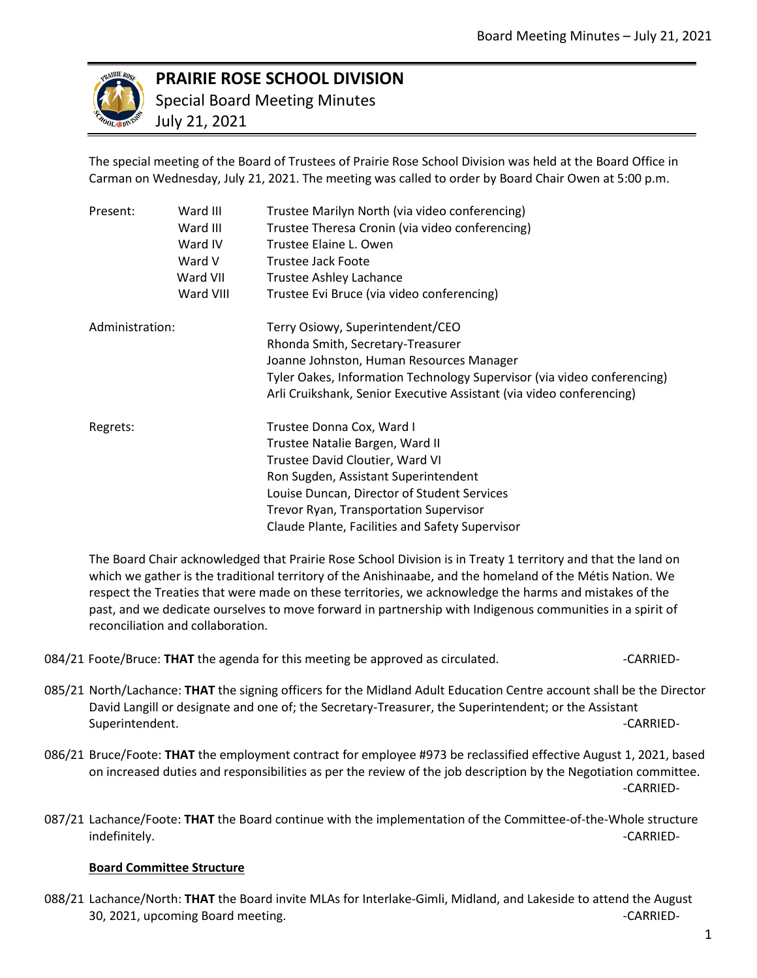

## **PRAIRIE ROSE SCHOOL DIVISION**

Special Board Meeting Minutes

July 21, 2021

The special meeting of the Board of Trustees of Prairie Rose School Division was held at the Board Office in Carman on Wednesday, July 21, 2021. The meeting was called to order by Board Chair Owen at 5:00 p.m.

|  | Present:        | Ward III  | Trustee Marilyn North (via video conferencing)                          |
|--|-----------------|-----------|-------------------------------------------------------------------------|
|  |                 | Ward III  | Trustee Theresa Cronin (via video conferencing)                         |
|  |                 | Ward IV   | Trustee Elaine L. Owen                                                  |
|  |                 | Ward V    | Trustee Jack Foote                                                      |
|  |                 | Ward VII  | Trustee Ashley Lachance                                                 |
|  |                 | Ward VIII | Trustee Evi Bruce (via video conferencing)                              |
|  | Administration: |           | Terry Osiowy, Superintendent/CEO                                        |
|  |                 |           | Rhonda Smith, Secretary-Treasurer                                       |
|  |                 |           | Joanne Johnston, Human Resources Manager                                |
|  |                 |           | Tyler Oakes, Information Technology Supervisor (via video conferencing) |
|  |                 |           | Arli Cruikshank, Senior Executive Assistant (via video conferencing)    |
|  | Regrets:        |           | Trustee Donna Cox, Ward I                                               |
|  |                 |           | Trustee Natalie Bargen, Ward II                                         |
|  |                 |           | Trustee David Cloutier, Ward VI                                         |
|  |                 |           | Ron Sugden, Assistant Superintendent                                    |
|  |                 |           | Louise Duncan, Director of Student Services                             |
|  |                 |           | Trevor Ryan, Transportation Supervisor                                  |
|  |                 |           | Claude Plante, Facilities and Safety Supervisor                         |

The Board Chair acknowledged that Prairie Rose School Division is in Treaty 1 territory and that the land on which we gather is the traditional territory of the Anishinaabe, and the homeland of the Métis Nation. We respect the Treaties that were made on these territories, we acknowledge the harms and mistakes of the past, and we dedicate ourselves to move forward in partnership with Indigenous communities in a spirit of reconciliation and collaboration.

084/21 Foote/Bruce: **THAT** the agenda for this meeting be approved as circulated.  $-CARRIED-<sub>-</sub>$ 

- 085/21 North/Lachance: **THAT** the signing officers for the Midland Adult Education Centre account shall be the Director David Langill or designate and one of; the Secretary-Treasurer, the Superintendent; or the Assistant Superintendent. -CARRIED-
- 086/21 Bruce/Foote: **THAT** the employment contract for employee #973 be reclassified effective August 1, 2021, based on increased duties and responsibilities as per the review of the job description by the Negotiation committee. -CARRIED-
- 087/21 Lachance/Foote: **THAT** the Board continue with the implementation of the Committee-of-the-Whole structure indefinitely. -CARRIED-

## **Board Committee Structure**

088/21 Lachance/North: **THAT** the Board invite MLAs for Interlake-Gimli, Midland, and Lakeside to attend the August 30, 2021, upcoming Board meeting. The control of the control of the case of the case of the case of the case of the case of the case of the case of the case of the case of the case of the case of the case of the case of th